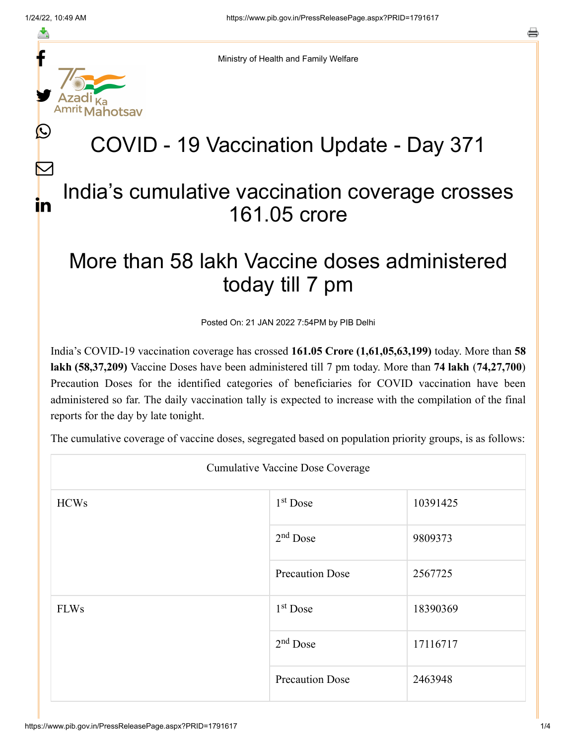f

≛

y.

 $\bigcirc$ 

 $\bm{\nabla}$ 

in

Ministry of Health and Family Welfare

## COVID - 19 Vaccination Update - Day 371

## India's cumulative vaccination coverage crosses 161.05 crore

## More than 58 lakh Vaccine doses administered today till 7 pm

Posted On: 21 JAN 2022 7:54PM by PIB Delhi

India's COVID-19 vaccination coverage has crossed **161.05 Crore (1,61,05,63,199)** today. More than **58 lakh (58,37,209)** Vaccine Doses have been administered till 7 pm today. More than **74 lakh** (**74,27,700**) Precaution Doses for the identified categories of beneficiaries for COVID vaccination have been administered so far. The daily vaccination tally is expected to increase with the compilation of the final reports for the day by late tonight.

The cumulative coverage of vaccine doses, segregated based on population priority groups, is as follows:

| <b>Cumulative Vaccine Dose Coverage</b> |                        |          |  |  |
|-----------------------------------------|------------------------|----------|--|--|
| <b>HCWs</b>                             | $1st$ Dose             | 10391425 |  |  |
|                                         | $2nd$ Dose             | 9809373  |  |  |
|                                         | <b>Precaution Dose</b> | 2567725  |  |  |
| <b>FLWs</b>                             | $1st$ Dose             | 18390369 |  |  |
|                                         | $2nd$ Dose             | 17116717 |  |  |
|                                         | <b>Precaution Dose</b> | 2463948  |  |  |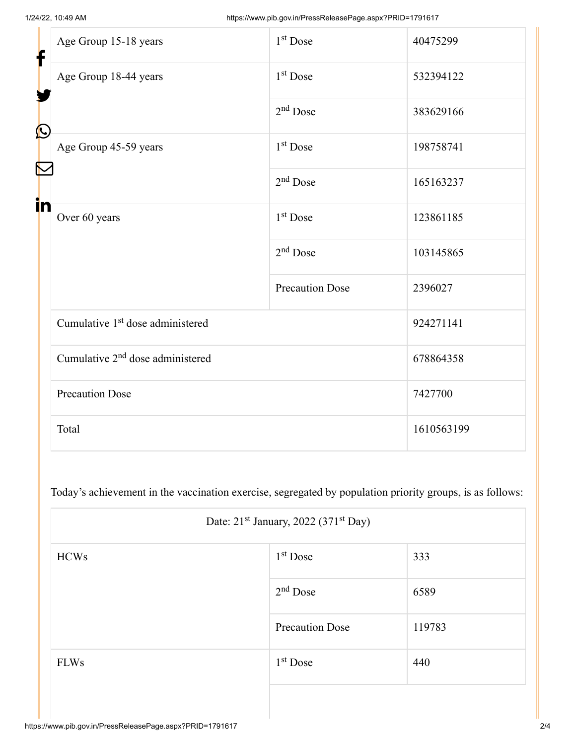| f<br>$\bf \Omega$ | Age Group 15-18 years                        | $1st$ Dose             | 40475299   |
|-------------------|----------------------------------------------|------------------------|------------|
|                   | Age Group 18-44 years                        | 1 <sup>st</sup> Dose   | 532394122  |
|                   |                                              | $2nd$ Dose             | 383629166  |
|                   | Age Group 45-59 years                        | 1 <sup>st</sup> Dose   | 198758741  |
|                   |                                              | $2nd$ Dose             | 165163237  |
| in                | Over 60 years                                | 1 <sup>st</sup> Dose   | 123861185  |
|                   |                                              | $2nd$ Dose             | 103145865  |
|                   |                                              | <b>Precaution Dose</b> | 2396027    |
|                   | Cumulative 1 <sup>st</sup> dose administered |                        | 924271141  |
|                   | Cumulative 2 <sup>nd</sup> dose administered |                        | 678864358  |
|                   | <b>Precaution Dose</b>                       |                        | 7427700    |
|                   | Total                                        |                        | 1610563199 |

Today's achievement in the vaccination exercise, segregated by population priority groups, is as follows:

|             | Date: 21 <sup>st</sup> January, 2022 (371 <sup>st</sup> Day) |        |  |
|-------------|--------------------------------------------------------------|--------|--|
| <b>HCWs</b> | $1st$ Dose                                                   | 333    |  |
|             | $2nd$ Dose                                                   | 6589   |  |
|             | <b>Precaution Dose</b>                                       | 119783 |  |
| <b>FLWs</b> | $1st$ Dose                                                   | 440    |  |
|             |                                                              |        |  |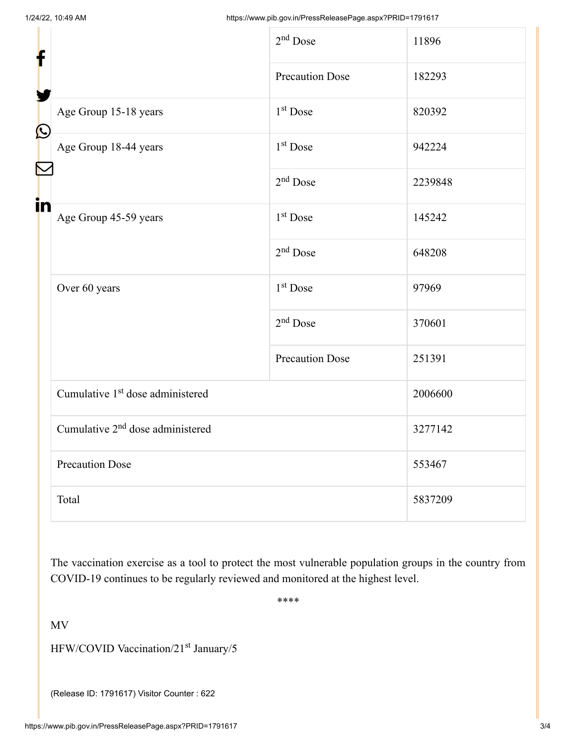| f<br>$\bigcirc$ |                                              | $2nd$ Dose             | 11896   |
|-----------------|----------------------------------------------|------------------------|---------|
|                 |                                              | <b>Precaution Dose</b> | 182293  |
|                 | Age Group 15-18 years                        | 1 <sup>st</sup> Dose   | 820392  |
|                 | Age Group 18-44 years                        | $1st$ Dose             | 942224  |
|                 |                                              | $2nd$ Dose             | 2239848 |
| in              | Age Group 45-59 years                        | 1 <sup>st</sup> Dose   | 145242  |
|                 |                                              | $2nd$ Dose             | 648208  |
|                 | Over 60 years                                | 1 <sup>st</sup> Dose   | 97969   |
|                 |                                              | $2nd$ Dose             | 370601  |
|                 |                                              | <b>Precaution Dose</b> | 251391  |
|                 | Cumulative 1 <sup>st</sup> dose administered |                        | 2006600 |
|                 | Cumulative 2 <sup>nd</sup> dose administered |                        | 3277142 |
|                 | <b>Precaution Dose</b>                       |                        | 553467  |
|                 | Total                                        |                        | 5837209 |

The vaccination exercise as a tool to protect the most vulnerable population groups in the country from COVID-19 continues to be regularly reviewed and monitored at the highest level.

\*\*\*\*

MV

HFW/COVID Vaccination/21<sup>st</sup> January/5

(Release ID: 1791617) Visitor Counter : 622